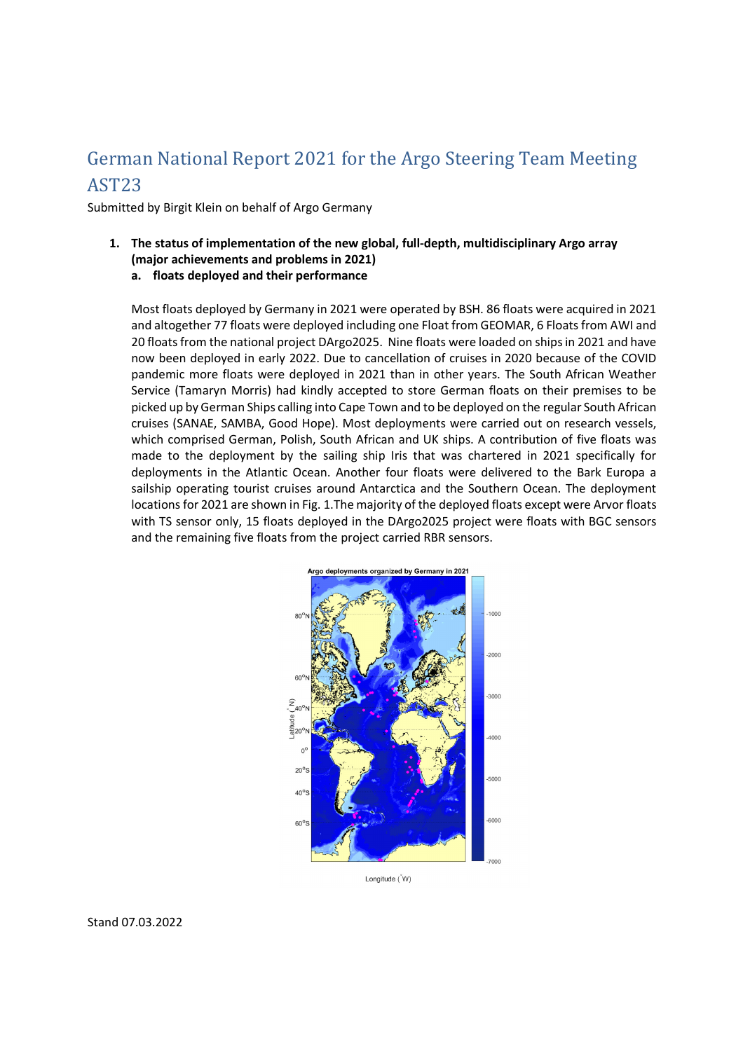# German National Report 2021 for the Argo Steering Team Meeting AST23

Submitted by Birgit Klein on behalf of Argo Germany

- **1. The status of implementation of the new global, full-depth, multidisciplinary Argo array (major achievements and problems in 2021) a. floats deployed and their performance** 
	- Most floats deployed by Germany in 2021 were operated by BSH. 86 floats were acquired in 2021 and altogether 77 floats were deployed including one Float from GEOMAR, 6 Floats from AWI and 20 floats from the national project DArgo2025. Nine floats were loaded on ships in 2021 and have now been deployed in early 2022. Due to cancellation of cruises in 2020 because of the COVID pandemic more floats were deployed in 2021 than in other years. The South African Weather Service (Tamaryn Morris) had kindly accepted to store German floats on their premises to be picked up by German Ships calling into Cape Town and to be deployed on the regular South African cruises (SANAE, SAMBA, Good Hope). Most deployments were carried out on research vessels, which comprised German, Polish, South African and UK ships. A contribution of five floats was made to the deployment by the sailing ship Iris that was chartered in 2021 specifically for deployments in the Atlantic Ocean. Another four floats were delivered to the Bark Europa a sailship operating tourist cruises around Antarctica and the Southern Ocean. The deployment locations for 2021 are shown in Fig. 1.The majority of the deployed floats except were Arvor floats with TS sensor only, 15 floats deployed in the DArgo2025 project were floats with BGC sensors and the remaining five floats from the project carried RBR sensors.



Longitude ( W)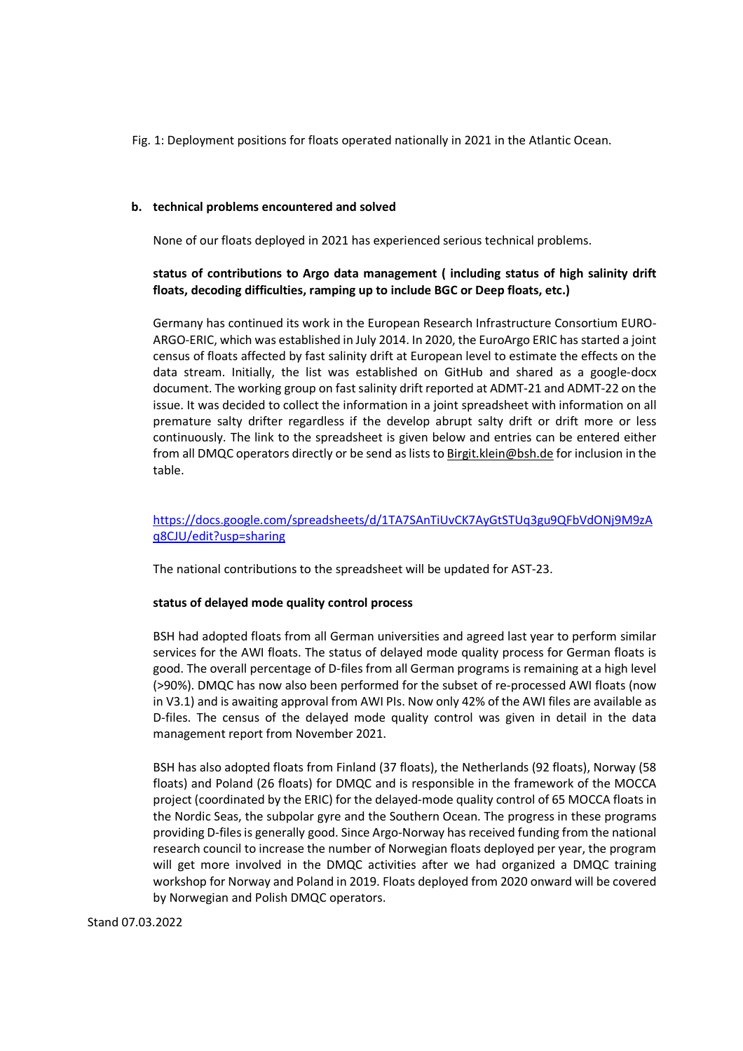Fig. 1: Deployment positions for floats operated nationally in 2021 in the Atlantic Ocean.

#### **b. technical problems encountered and solved**

None of our floats deployed in 2021 has experienced serious technical problems.

## **status of contributions to Argo data management ( including status of high salinity drift floats, decoding difficulties, ramping up to include BGC or Deep floats, etc.)**

Germany has continued its work in the European Research Infrastructure Consortium EURO-ARGO-ERIC, which was established in July 2014. In 2020, the EuroArgo ERIC has started a joint census of floats affected by fast salinity drift at European level to estimate the effects on the data stream. Initially, the list was established on GitHub and shared as a google-docx document. The working group on fast salinity drift reported at ADMT-21 and ADMT-22 on the issue. It was decided to collect the information in a joint spreadsheet with information on all premature salty drifter regardless if the develop abrupt salty drift or drift more or less continuously. The link to the spreadsheet is given below and entries can be entered either from all DMQC operators directly or be send as lists to Birgit.klein@bsh.de for inclusion in the table.

## https://docs.google.com/spreadsheets/d/1TA7SAnTiUvCK7AyGtSTUq3gu9QFbVdONj9M9zA q8CJU/edit?usp=sharing

The national contributions to the spreadsheet will be updated for AST-23.

#### **status of delayed mode quality control process**

BSH had adopted floats from all German universities and agreed last year to perform similar services for the AWI floats. The status of delayed mode quality process for German floats is good. The overall percentage of D-files from all German programs is remaining at a high level (>90%). DMQC has now also been performed for the subset of re-processed AWI floats (now in V3.1) and is awaiting approval from AWI PIs. Now only 42% of the AWI files are available as D-files. The census of the delayed mode quality control was given in detail in the data management report from November 2021.

BSH has also adopted floats from Finland (37 floats), the Netherlands (92 floats), Norway (58 floats) and Poland (26 floats) for DMQC and is responsible in the framework of the MOCCA project (coordinated by the ERIC) for the delayed-mode quality control of 65 MOCCA floats in the Nordic Seas, the subpolar gyre and the Southern Ocean. The progress in these programs providing D-files is generally good. Since Argo-Norway has received funding from the national research council to increase the number of Norwegian floats deployed per year, the program will get more involved in the DMQC activities after we had organized a DMQC training workshop for Norway and Poland in 2019. Floats deployed from 2020 onward will be covered by Norwegian and Polish DMQC operators.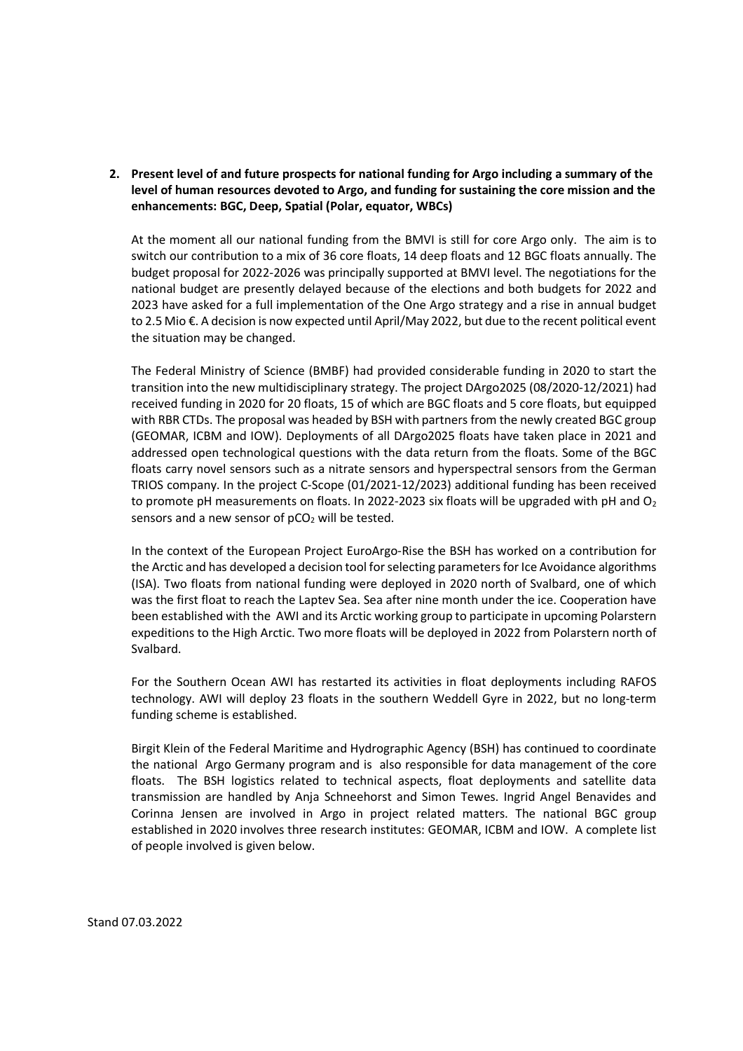### **2. Present level of and future prospects for national funding for Argo including a summary of the level of human resources devoted to Argo, and funding for sustaining the core mission and the enhancements: BGC, Deep, Spatial (Polar, equator, WBCs)**

At the moment all our national funding from the BMVI is still for core Argo only. The aim is to switch our contribution to a mix of 36 core floats, 14 deep floats and 12 BGC floats annually. The budget proposal for 2022-2026 was principally supported at BMVI level. The negotiations for the national budget are presently delayed because of the elections and both budgets for 2022 and 2023 have asked for a full implementation of the One Argo strategy and a rise in annual budget to 2.5 Mio €. A decision is now expected until April/May 2022, but due to the recent political event the situation may be changed.

The Federal Ministry of Science (BMBF) had provided considerable funding in 2020 to start the transition into the new multidisciplinary strategy. The project DArgo2025 (08/2020-12/2021) had received funding in 2020 for 20 floats, 15 of which are BGC floats and 5 core floats, but equipped with RBR CTDs. The proposal was headed by BSH with partners from the newly created BGC group (GEOMAR, ICBM and IOW). Deployments of all DArgo2025 floats have taken place in 2021 and addressed open technological questions with the data return from the floats. Some of the BGC floats carry novel sensors such as a nitrate sensors and hyperspectral sensors from the German TRIOS company. In the project C-Scope (01/2021-12/2023) additional funding has been received to promote pH measurements on floats. In 2022-2023 six floats will be upgraded with pH and  $O<sub>2</sub>$ sensors and a new sensor of  $pCO<sub>2</sub>$  will be tested.

In the context of the European Project EuroArgo-Rise the BSH has worked on a contribution for the Arctic and has developed a decision tool for selecting parameters for Ice Avoidance algorithms (ISA). Two floats from national funding were deployed in 2020 north of Svalbard, one of which was the first float to reach the Laptev Sea. Sea after nine month under the ice. Cooperation have been established with the AWI and its Arctic working group to participate in upcoming Polarstern expeditions to the High Arctic. Two more floats will be deployed in 2022 from Polarstern north of Svalbard.

For the Southern Ocean AWI has restarted its activities in float deployments including RAFOS technology. AWI will deploy 23 floats in the southern Weddell Gyre in 2022, but no long-term funding scheme is established.

Birgit Klein of the Federal Maritime and Hydrographic Agency (BSH) has continued to coordinate the national Argo Germany program and is also responsible for data management of the core floats. The BSH logistics related to technical aspects, float deployments and satellite data transmission are handled by Anja Schneehorst and Simon Tewes. Ingrid Angel Benavides and Corinna Jensen are involved in Argo in project related matters. The national BGC group established in 2020 involves three research institutes: GEOMAR, ICBM and IOW. A complete list of people involved is given below.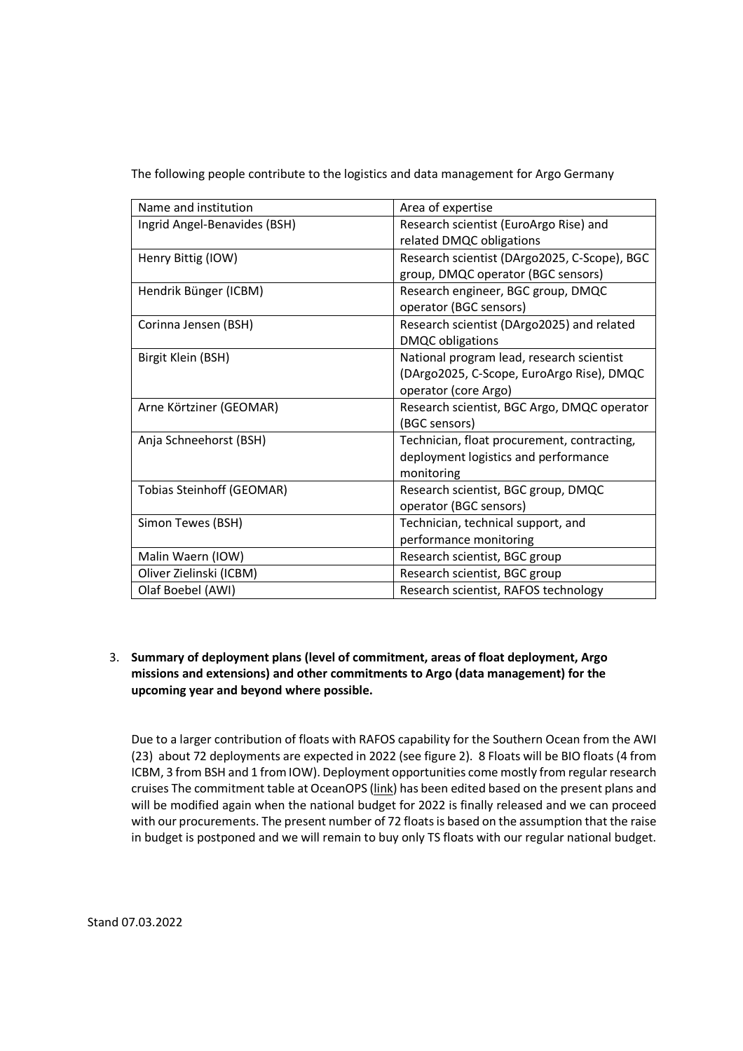The following people contribute to the logistics and data management for Argo Germany

| Name and institution             | Area of expertise                            |
|----------------------------------|----------------------------------------------|
| Ingrid Angel-Benavides (BSH)     | Research scientist (EuroArgo Rise) and       |
|                                  | related DMQC obligations                     |
| Henry Bittig (IOW)               | Research scientist (DArgo2025, C-Scope), BGC |
|                                  | group, DMQC operator (BGC sensors)           |
| Hendrik Bünger (ICBM)            | Research engineer, BGC group, DMQC           |
|                                  | operator (BGC sensors)                       |
| Corinna Jensen (BSH)             | Research scientist (DArgo2025) and related   |
|                                  | <b>DMQC</b> obligations                      |
| Birgit Klein (BSH)               | National program lead, research scientist    |
|                                  | (DArgo2025, C-Scope, EuroArgo Rise), DMQC    |
|                                  | operator (core Argo)                         |
| Arne Körtziner (GEOMAR)          | Research scientist, BGC Argo, DMQC operator  |
|                                  | (BGC sensors)                                |
| Anja Schneehorst (BSH)           | Technician, float procurement, contracting,  |
|                                  | deployment logistics and performance         |
|                                  | monitoring                                   |
| <b>Tobias Steinhoff (GEOMAR)</b> | Research scientist, BGC group, DMQC          |
|                                  | operator (BGC sensors)                       |
| Simon Tewes (BSH)                | Technician, technical support, and           |
|                                  | performance monitoring                       |
| Malin Waern (IOW)                | Research scientist, BGC group                |
| Oliver Zielinski (ICBM)          | Research scientist, BGC group                |
| Olaf Boebel (AWI)                |                                              |

# 3. **Summary of deployment plans (level of commitment, areas of float deployment, Argo missions and extensions) and other commitments to Argo (data management) for the upcoming year and beyond where possible.**

Due to a larger contribution of floats with RAFOS capability for the Southern Ocean from the AWI (23) about 72 deployments are expected in 2022 (see figure 2). 8 Floats will be BIO floats (4 from ICBM, 3 from BSH and 1 from IOW). Deployment opportunities come mostly from regular research cruises The commitment table at OceanOPS (link) has been edited based on the present plans and will be modified again when the national budget for 2022 is finally released and we can proceed with our procurements. The present number of 72 floats is based on the assumption that the raise in budget is postponed and we will remain to buy only TS floats with our regular national budget.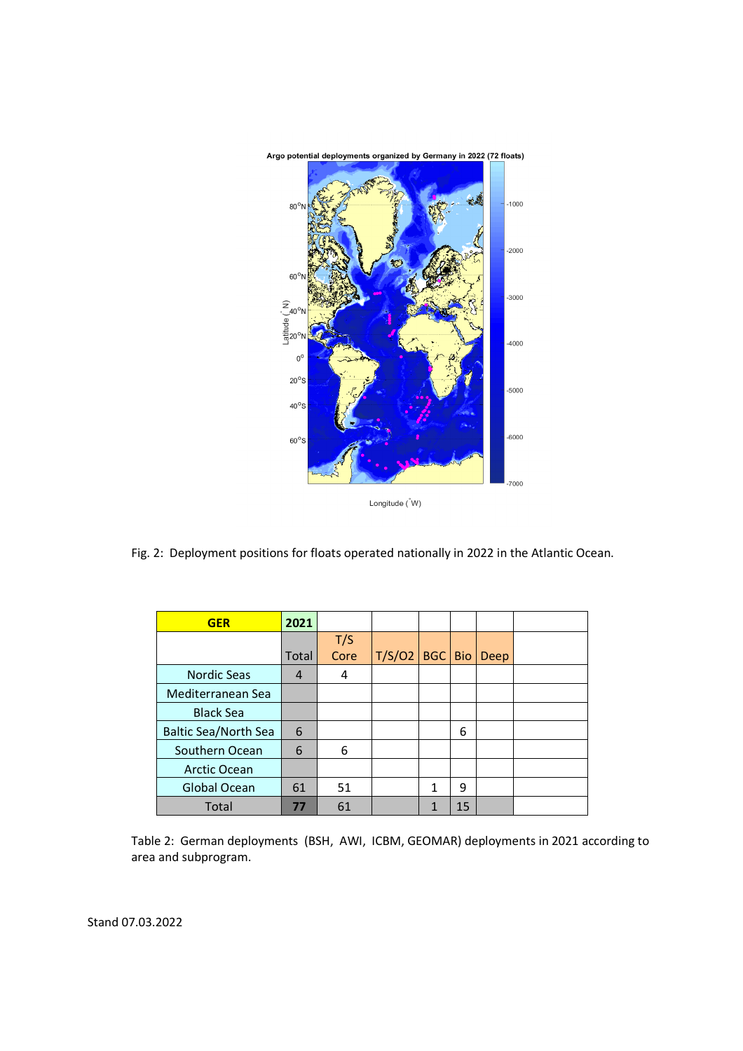

Fig. 2: Deployment positions for floats operated nationally in 2022 in the Atlantic Ocean.

| <b>GER</b>                  | 2021           |      |        |            |            |             |  |
|-----------------------------|----------------|------|--------|------------|------------|-------------|--|
|                             |                | T/S  |        |            |            |             |  |
|                             | <b>Total</b>   | Core | T/S/O2 | <b>BGC</b> | <b>Bio</b> | <b>Deep</b> |  |
| <b>Nordic Seas</b>          | $\overline{a}$ | 4    |        |            |            |             |  |
| Mediterranean Sea           |                |      |        |            |            |             |  |
| <b>Black Sea</b>            |                |      |        |            |            |             |  |
| <b>Baltic Sea/North Sea</b> | 6              |      |        |            | 6          |             |  |
| Southern Ocean              | 6              | 6    |        |            |            |             |  |
| <b>Arctic Ocean</b>         |                |      |        |            |            |             |  |
| <b>Global Ocean</b>         | 61             | 51   |        | 1          | 9          |             |  |
| Total                       | 77             | 61   |        | 1          | 15         |             |  |

Table 2: German deployments (BSH, AWI, ICBM, GEOMAR) deployments in 2021 according to area and subprogram.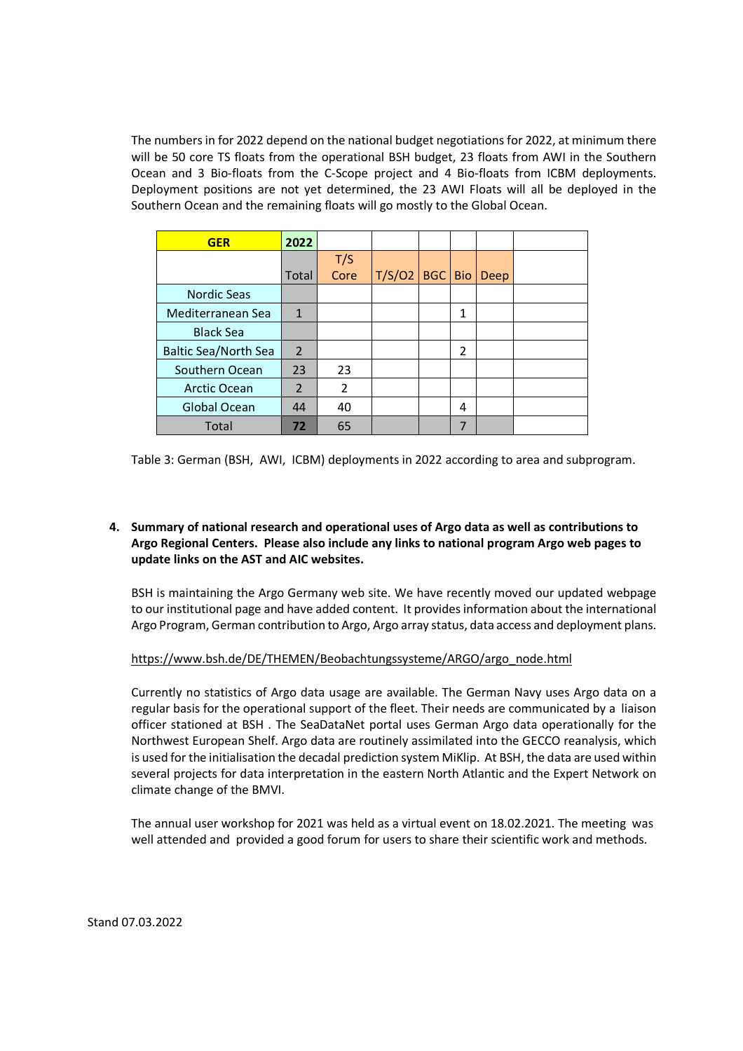The numbers in for 2022 depend on the national budget negotiations for 2022, at minimum there will be 50 core TS floats from the operational BSH budget, 23 floats from AWI in the Southern Ocean and 3 Bio-floats from the C-Scope project and 4 Bio-floats from ICBM deployments. Deployment positions are not yet determined, the 23 AWI Floats will all be deployed in the Southern Ocean and the remaining floats will go mostly to the Global Ocean.

| <b>GER</b>                  | 2022           |      |        |            |                |             |  |
|-----------------------------|----------------|------|--------|------------|----------------|-------------|--|
|                             |                | T/S  |        |            |                |             |  |
|                             | <b>Total</b>   | Core | T/S/O2 | <b>BGC</b> | <b>Bio</b>     | <b>Deep</b> |  |
| <b>Nordic Seas</b>          |                |      |        |            |                |             |  |
| Mediterranean Sea           | $\mathbf{1}$   |      |        |            | 1              |             |  |
| <b>Black Sea</b>            |                |      |        |            |                |             |  |
| <b>Baltic Sea/North Sea</b> | $\overline{2}$ |      |        |            | $\overline{2}$ |             |  |
| Southern Ocean              | 23             | 23   |        |            |                |             |  |
| <b>Arctic Ocean</b>         | 2              | 2    |        |            |                |             |  |
| Global Ocean                | 44             | 40   |        |            | 4              |             |  |
| Total                       | 72             | 65   |        |            | 7              |             |  |

Table 3: German (BSH, AWI, ICBM) deployments in 2022 according to area and subprogram.

## **4. Summary of national research and operational uses of Argo data as well as contributions to Argo Regional Centers. Please also include any links to national program Argo web pages to update links on the AST and AIC websites.**

BSH is maintaining the Argo Germany web site. We have recently moved our updated webpage to our institutional page and have added content. It provides information about the international Argo Program, German contribution to Argo, Argo array status, data access and deployment plans.

#### https://www.bsh.de/DE/THEMEN/Beobachtungssysteme/ARGO/argo\_node.html

Currently no statistics of Argo data usage are available. The German Navy uses Argo data on a regular basis for the operational support of the fleet. Their needs are communicated by a liaison officer stationed at BSH . The SeaDataNet portal uses German Argo data operationally for the Northwest European Shelf. Argo data are routinely assimilated into the GECCO reanalysis, which is used for the initialisation the decadal prediction system MiKlip. At BSH, the data are used within several projects for data interpretation in the eastern North Atlantic and the Expert Network on climate change of the BMVI.

The annual user workshop for 2021 was held as a virtual event on 18.02.2021. The meeting was well attended and provided a good forum for users to share their scientific work and methods.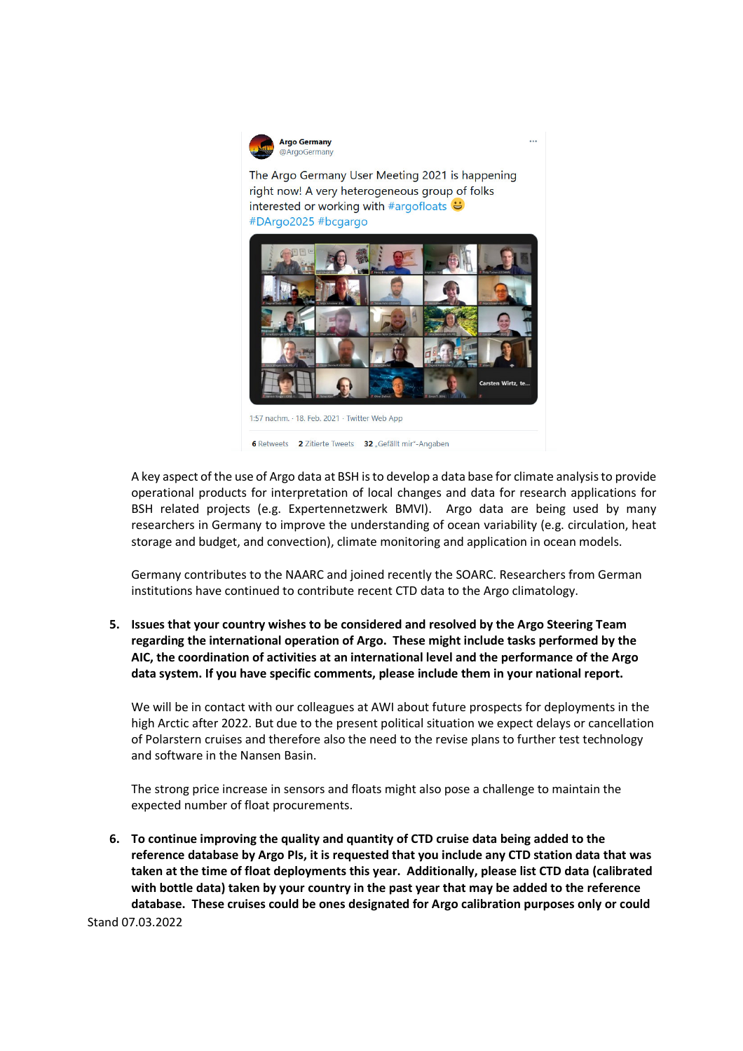

The Argo Germany User Meeting 2021 is happening right now! A very heterogeneous group of folks interested or working with #argofloats  $\ddot{\Theta}$ #DArgo2025 #bcgargo



6 Retweets 2 Zitierte Tweets 32 "Gefällt mir"-Angaben

A key aspect of the use of Argo data at BSH is to develop a data base for climate analysis to provide operational products for interpretation of local changes and data for research applications for BSH related projects (e.g. Expertennetzwerk BMVI). Argo data are being used by many researchers in Germany to improve the understanding of ocean variability (e.g. circulation, heat storage and budget, and convection), climate monitoring and application in ocean models.

Germany contributes to the NAARC and joined recently the SOARC. Researchers from German institutions have continued to contribute recent CTD data to the Argo climatology.

**5. Issues that your country wishes to be considered and resolved by the Argo Steering Team regarding the international operation of Argo. These might include tasks performed by the AIC, the coordination of activities at an international level and the performance of the Argo data system. If you have specific comments, please include them in your national report.** 

We will be in contact with our colleagues at AWI about future prospects for deployments in the high Arctic after 2022. But due to the present political situation we expect delays or cancellation of Polarstern cruises and therefore also the need to the revise plans to further test technology and software in the Nansen Basin.

The strong price increase in sensors and floats might also pose a challenge to maintain the expected number of float procurements.

Stand 07.03.2022 **6. To continue improving the quality and quantity of CTD cruise data being added to the reference database by Argo PIs, it is requested that you include any CTD station data that was taken at the time of float deployments this year. Additionally, please list CTD data (calibrated with bottle data) taken by your country in the past year that may be added to the reference database. These cruises could be ones designated for Argo calibration purposes only or could**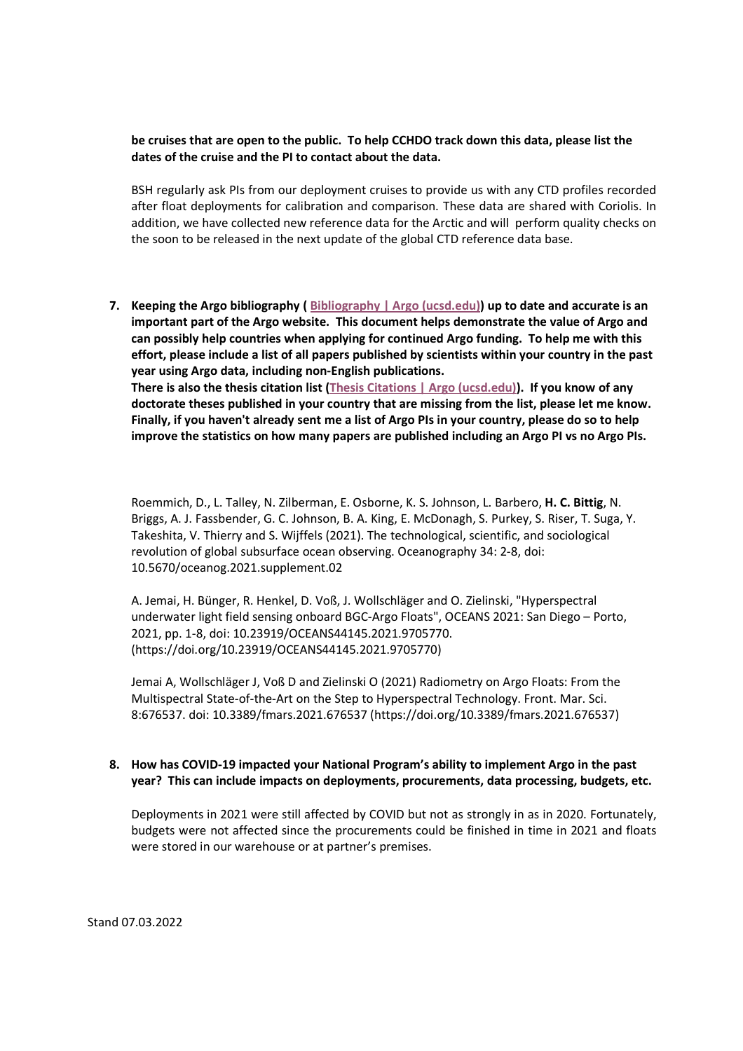#### **be cruises that are open to the public. To help CCHDO track down this data, please list the dates of the cruise and the PI to contact about the data.**

BSH regularly ask PIs from our deployment cruises to provide us with any CTD profiles recorded after float deployments for calibration and comparison. These data are shared with Coriolis. In addition, we have collected new reference data for the Arctic and will perform quality checks on the soon to be released in the next update of the global CTD reference data base.

**7. Keeping the Argo bibliography ( Bibliography | Argo (ucsd.edu)) up to date and accurate is an important part of the Argo website. This document helps demonstrate the value of Argo and can possibly help countries when applying for continued Argo funding. To help me with this effort, please include a list of all papers published by scientists within your country in the past year using Argo data, including non-English publications. There is also the thesis citation list (Thesis Citations | Argo (ucsd.edu)). If you know of any doctorate theses published in your country that are missing from the list, please let me know. Finally, if you haven't already sent me a list of Argo PIs in your country, please do so to help improve the statistics on how many papers are published including an Argo PI vs no Argo PIs.** 

Roemmich, D., L. Talley, N. Zilberman, E. Osborne, K. S. Johnson, L. Barbero, **H. C. Bittig**, N. Briggs, A. J. Fassbender, G. C. Johnson, B. A. King, E. McDonagh, S. Purkey, S. Riser, T. Suga, Y. Takeshita, V. Thierry and S. Wijffels (2021). The technological, scientific, and sociological revolution of global subsurface ocean observing. Oceanography 34: 2-8, doi: 10.5670/oceanog.2021.supplement.02

A. Jemai, H. Bünger, R. Henkel, D. Voß, J. Wollschläger and O. Zielinski, "Hyperspectral underwater light field sensing onboard BGC-Argo Floats", OCEANS 2021: San Diego – Porto, 2021, pp. 1-8, doi: 10.23919/OCEANS44145.2021.9705770. (https://doi.org/10.23919/OCEANS44145.2021.9705770)

Jemai A, Wollschläger J, Voß D and Zielinski O (2021) Radiometry on Argo Floats: From the Multispectral State-of-the-Art on the Step to Hyperspectral Technology. Front. Mar. Sci. 8:676537. doi: 10.3389/fmars.2021.676537 (https://doi.org/10.3389/fmars.2021.676537)

#### **8. How has COVID-19 impacted your National Program's ability to implement Argo in the past year? This can include impacts on deployments, procurements, data processing, budgets, etc.**

Deployments in 2021 were still affected by COVID but not as strongly in as in 2020. Fortunately, budgets were not affected since the procurements could be finished in time in 2021 and floats were stored in our warehouse or at partner's premises.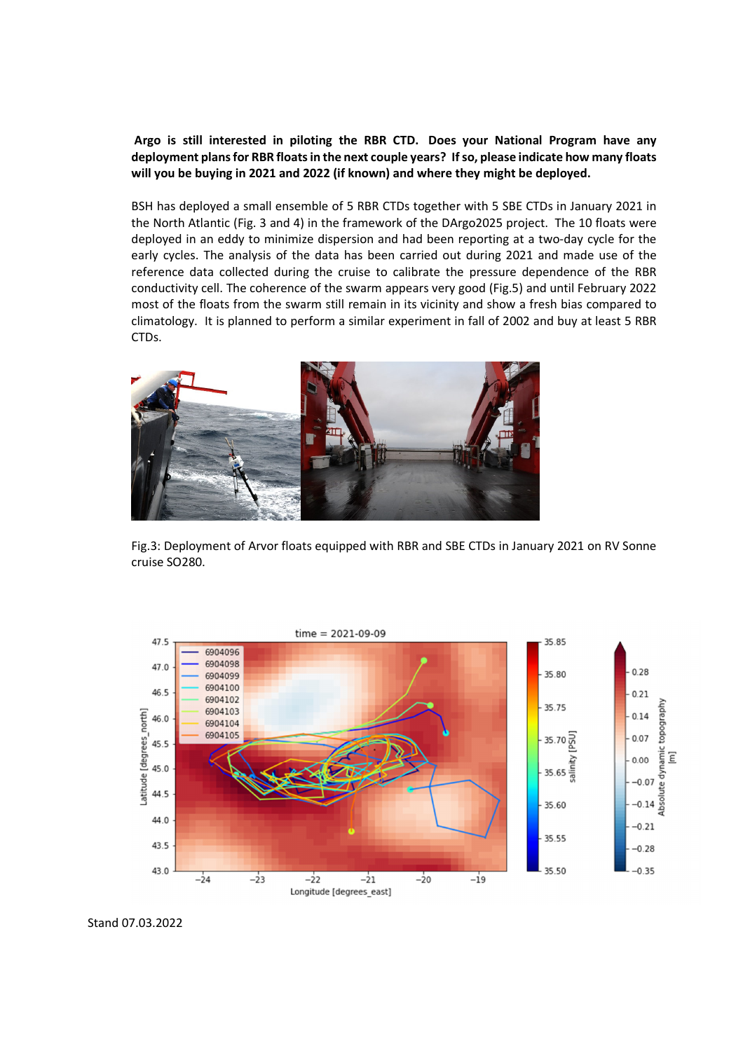**Argo is still interested in piloting the RBR CTD. Does your National Program have any deployment plans for RBR floats in the next couple years? If so, please indicate how many floats will you be buying in 2021 and 2022 (if known) and where they might be deployed.** 

BSH has deployed a small ensemble of 5 RBR CTDs together with 5 SBE CTDs in January 2021 in the North Atlantic (Fig. 3 and 4) in the framework of the DArgo2025 project. The 10 floats were deployed in an eddy to minimize dispersion and had been reporting at a two-day cycle for the early cycles. The analysis of the data has been carried out during 2021 and made use of the reference data collected during the cruise to calibrate the pressure dependence of the RBR conductivity cell. The coherence of the swarm appears very good (Fig.5) and until February 2022 most of the floats from the swarm still remain in its vicinity and show a fresh bias compared to climatology. It is planned to perform a similar experiment in fall of 2002 and buy at least 5 RBR CTDs.



Fig.3: Deployment of Arvor floats equipped with RBR and SBE CTDs in January 2021 on RV Sonne cruise SO280.